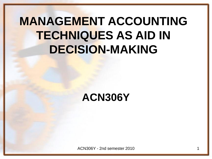## **MANAGEMENT ACCOUNTING TECHNIQUES AS AID IN DECISION-MAKING**

### **ACN306Y**

ACN306Y - 2nd semester 2010 1 1 1 1 200 1 200 1 200 1 200 1 200 1 200 1 200 1 200 1 200 1 200 1 200 1 200 1 20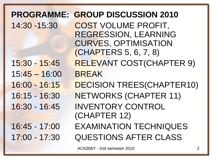### **PROGRAMME: GROUP DISCUSSION 2010** 14:30 -15:30 COST VOLUME PROFIT, REGRESSION, LEARNING CURVES, OPTIMISATION (CHAPTERS 5, 6, 7, 8) 15:30 - 15:45 RELEVANT COST(CHAPTER 9) 15:45 – 16:00 BREAK 16:00 - 16:15 DECISION TREES(CHAPTER10) 16:15 - 16:30 NETWORKS (CHAPTER 11) 16:30 - 16:45 INVENTORY CONTROL (CHAPTER 12) 16:45 - 17:00 EXAMINATION TECHNIQUES 17:00 - 17:30 QUESTIONS AFTER CLASS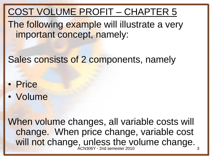COST VOLUME PROFIT – CHAPTER 5

The following example will illustrate a very important concept, namely:

Sales consists of 2 components, namely

- Price
- Volume

When volume changes, all variable costs will change. When price change, variable cost will not change, unless the volume change. ACN306Y - 2nd semester 2010 3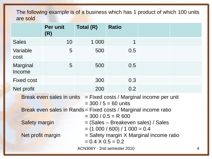The following example is of a business which has 1 product of which 100 units are sold

|                                                                                                                  | Per unit<br>(R)                                                                          | Total (R)                   | <b>Ratio</b>                                                             |  |   |
|------------------------------------------------------------------------------------------------------------------|------------------------------------------------------------------------------------------|-----------------------------|--------------------------------------------------------------------------|--|---|
| <b>Sales</b>                                                                                                     | 10                                                                                       | 1 000                       | 1                                                                        |  |   |
| Variable<br>cost                                                                                                 | 5                                                                                        | 500                         | 0.5                                                                      |  |   |
| Marginal<br>Income                                                                                               | 5                                                                                        | 500                         | 0.5                                                                      |  |   |
| <b>Fixed cost</b>                                                                                                |                                                                                          | 300                         | 0.3                                                                      |  |   |
| Net profit                                                                                                       |                                                                                          | 200                         | 0.2                                                                      |  |   |
| <b>Break even sales in units <math>=</math> Fixed costs / Marginal income per unit</b><br>$=$ 300 / 5 = 60 units |                                                                                          |                             |                                                                          |  |   |
| Break even sales in Rands = Fixed costs / Marginal income ratio<br>$=$ 300 / 0.5 = R 600                         |                                                                                          |                             |                                                                          |  |   |
| <b>Safety margin</b>                                                                                             |                                                                                          |                             | = (Sales – Breakeven sales) / Sales<br>$=$ (1 000 / 600) / 1 000 $=$ 0.4 |  |   |
|                                                                                                                  | = Safety margin X Marginal income ratio<br>Net profit margin<br>$= 0.4 \times 0.5 = 0.2$ |                             |                                                                          |  |   |
|                                                                                                                  |                                                                                          | ACN306Y - 2nd semester 2010 |                                                                          |  | 4 |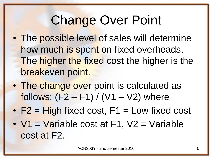# Change Over Point

- The possible level of sales will determine how much is spent on fixed overheads. The higher the fixed cost the higher is the breakeven point.
- The change over point is calculated as follows:  $(F2 - F1) / (V1 - V2)$  where
- $F2 = High fixed cost, F1 = Low fixed cost$
- $V1 = \text{Variable cost at } F1$ ,  $V2 = \text{Variable}$ cost at F2.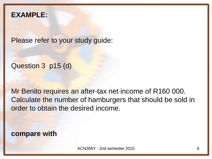#### **EXAMPLE:**

Please refer to your study guide:

Question 3 p15 (d)

Mr Benito requires an after-tax net income of R160 000. Calculate the number of hamburgers that should be sold in order to obtain the desired income.

**compare with**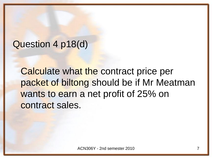### Question 4 p18(d)

Calculate what the contract price per packet of biltong should be if Mr Meatman wants to earn a net profit of 25% on contract sales.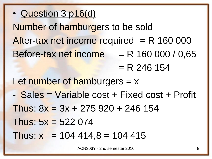• Question 3 p16(d)

Number of hamburgers to be sold After-tax net income required  $= R$  160 000 Before-tax net income  $R = R$  160 000 / 0,65  $= R$  246 154 Let number of hamburgers  $= x$ - Sales = Variable cost + Fixed cost + Profit Thus:  $8x = 3x + 275920 + 246154$ Thus:  $5x = 522074$ Thus:  $x = 104444.8 = 104415$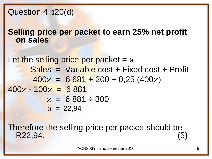#### Question 4 p20(d)

**Selling price per packet to earn 25% net profit on sales**

Let the selling price per packet =  $x$ Sales = Variable cost + Fixed cost + Profit  $400x = 6681 + 200 + 0,25(400x)$  $400x - 100x = 6881$  $x = 6881 \div 300$  $x = 22,94$ 

Therefore the selling price per packet should be R22,94. (5)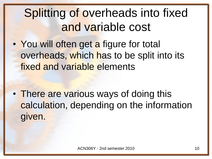## Splitting of overheads into fixed and variable cost

• You will often get a figure for total overheads, which has to be split into its fixed and variable elements

• There are various ways of doing this calculation, depending on the information given.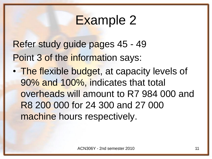### Example 2

Refer study guide pages 45 - 49 Point 3 of the information says:

• The flexible budget, at capacity levels of 90% and 100%, indicates that total overheads will amount to R7 984 000 and R8 200 000 for 24 300 and 27 000 machine hours respectively.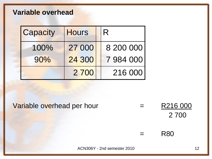#### **Variable overhead**

| Capacity | <b>Hours</b> | R         |
|----------|--------------|-----------|
| 100%     | 27 000       | 8 200 000 |
| 90%      | 24 300       | 7984000   |
|          | 2 700        | 216 000   |

Variable overhead per hour  $=$  R216 000

2 700

= R80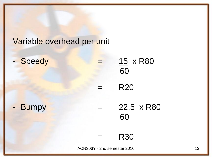#### Variable overhead per unit

| - Speedy | 15 x R80<br>60          |
|----------|-------------------------|
|          | <b>R20</b>              |
| Bumpy    | $22,5 \times R80$<br>60 |
|          | <b>R30</b>              |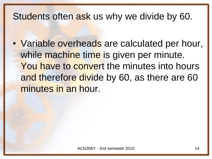### Students often ask us why we divide by 60.

• Variable overheads are calculated per hour, while machine time is given per minute. You have to convert the minutes into hours and therefore divide by 60, as there are 60 minutes in an hour.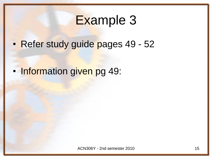### Example 3

• Refer study guide pages 49 - 52

Information given pg 49: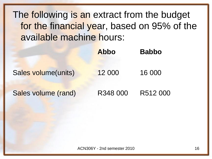The following is an extract from the budget for the financial year, based on 95% of the available machine hours:

|                     | Abbo     | <b>Babbo</b> |
|---------------------|----------|--------------|
| Sales volume(units) | 12 000   | 16 000       |
| Sales volume (rand) | R348 000 | R512 000     |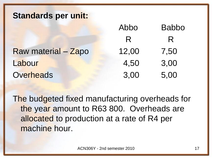#### **Standards per unit:**

|                     | Abbo  | <b>Babbo</b> |
|---------------------|-------|--------------|
|                     | R     | R.           |
| Raw material - Zapo | 12,00 | 7,50         |
| Labour              | 4,50  | 3,00         |
| <b>Overheads</b>    | 3,00  | 5,00         |

The budgeted fixed manufacturing overheads for the year amount to R63 800. Overheads are allocated to production at a rate of R4 per machine hour.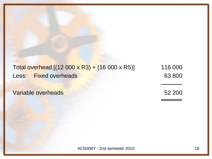#### Total overhead  $[(12\ 000 \times R3) + (16\ 000 \times R5)]$  116 000 Less: Fixed overheads 63 800 ─────

Variable overheads 52 200

════════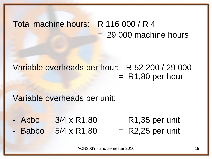### Total machine hours: R 116 000 / R 4  $= 29000$  machine hours

Variable overheads per hour: R 52 200 / 29 000  $=$  R1,80 per hour

Variable overheads per unit:

 $\lambda$ bbo  $3/4 \times R1,80$  = R1,35 per unit  $Babbo$  5/4 x R1,80 = R2,25 per unit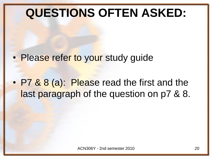## **QUESTIONS OFTEN ASKED:**

- Please refer to your study guide
- P7 & 8 (a): Please read the first and the last paragraph of the question on p7 & 8.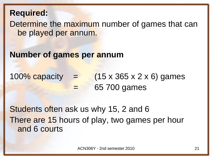#### **Required:**

Determine the maximum number of games that can be played per annum.

#### **Number of games per annum**

100% capacity  $=$   $(15 \times 365 \times 2 \times 6)$  games = 65 700 games

Students often ask us why 15, 2 and 6 There are 15 hours of play, two games per hour and 6 courts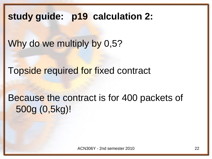**study guide: p19 calculation 2:** 

Why do we multiply by 0,5?

Topside required for fixed contract

Because the contract is for 400 packets of 500g (0,5kg)!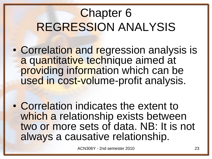## Chapter 6 REGRESSION ANALYSIS

- Correlation and regression analysis is a quantitative technique aimed at providing information which can be used in cost-volume-profit analysis.
- Correlation indicates the extent to which a relationship exists between two or more sets of data. NB: It is not always a causative relationship.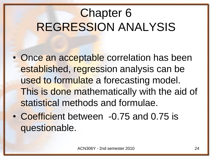## Chapter 6 REGRESSION ANALYSIS

- Once an acceptable correlation has been established, regression analysis can be used to formulate a forecasting model. This is done mathematically with the aid of statistical methods and formulae.
- Coefficient between -0.75 and 0.75 is questionable.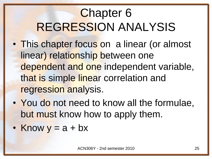## Chapter 6 REGRESSION ANALYSIS

- This chapter focus on a linear (or almost linear) relationship between one dependent and one independent variable, that is simple linear correlation and regression analysis.
- You do not need to know all the formulae, but must know how to apply them.
- Know  $y = a + bx$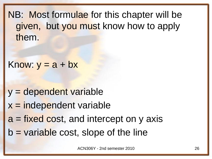NB: Most formulae for this chapter will be given, but you must know how to apply them.

```
Know: y = a + bx
```
y = dependent variable  $x =$  independent variable  $a = fixed cost$ , and intercept on y axis  $b$  = variable cost, slope of the line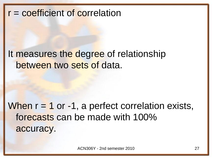### r = coefficient of correlation

### It measures the degree of relationship between two sets of data.

### When  $r = 1$  or  $-1$ , a perfect correlation exists, forecasts can be made with 100% accuracy.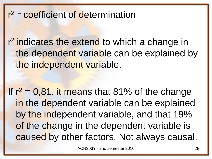### r<sup>2</sup> = coefficient of determination

r<sup>2</sup> indicates the extend to which a change in the dependent variable can be explained by the independent variable.

If  $r^2 = 0.81$ , it means that 81% of the change in the dependent variable can be explained by the independent variable, and that 19% of the change in the dependent variable is caused by other factors. Not always causal.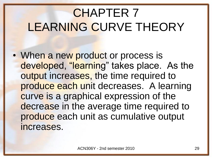## CHAPTER 7 LEARNING CURVE THEORY

• When a new product or process is developed, "learning" takes place. As the output increases, the time required to produce each unit decreases. A learning curve is a graphical expression of the decrease in the average time required to produce each unit as cumulative output increases.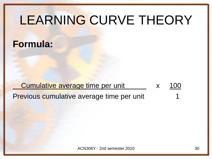# LEARNING CURVE THEORY

### **Formula:**

### Cumulative average time per unit x 100 Previous cumulative average time per unit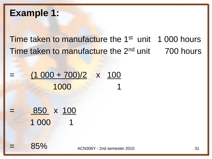#### **Example 1:**

Time taken to manufacture the 1<sup>st</sup> unit 1 000 hours Time taken to manufacture the 2<sup>nd</sup> unit 700 hours

$$
= \frac{(1\ 000 + 700)/2}{1000} \times \frac{100}{1}
$$

$$
= \frac{850}{1000} \times \frac{100}{1}
$$

85% ACN306Y - 2nd semester 2010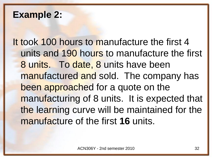### **Example 2:**

It took 100 hours to manufacture the first 4 units and 190 hours to manufacture the first 8 units. To date, 8 units have been manufactured and sold. The company has been approached for a quote on the manufacturing of 8 units. It is expected that the learning curve will be maintained for the manufacture of the first **16** units.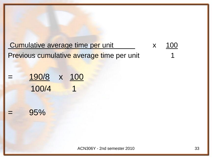Cumulative average time per unit x 100 Previous cumulative average time per unit

| $\overline{\phantom{a}}$<br><b>Contract Contract</b> | 190/8 | $\mathbf{X}$ | 100 |
|------------------------------------------------------|-------|--------------|-----|
|                                                      | 100/4 |              |     |

#### 95%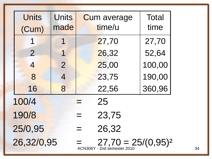| <b>Units</b><br><b>Units</b><br><b>Total</b><br><b>Cum average</b><br>time/u<br>made<br>time<br>(Cum)<br>27,70<br>27,70<br>1<br>1<br>52,64<br>$\overline{2}$<br>26,32<br>1<br>100,00<br>25,00<br>$\overline{2}$<br>$\overline{4}$<br>190,00<br>23,75<br>8<br>$\overline{4}$<br>360,96<br>22,56<br>16<br>8<br>100/4<br>25<br>190/8<br>23,75<br>25/0,95<br>26,32<br>$\equiv$<br>26,32/0,95<br>$=$ 27,70 = 25/(0,95) <sup>2</sup><br>ACN306Y - 2nd semester 2010 |  |  |  |  |
|---------------------------------------------------------------------------------------------------------------------------------------------------------------------------------------------------------------------------------------------------------------------------------------------------------------------------------------------------------------------------------------------------------------------------------------------------------------|--|--|--|--|
|                                                                                                                                                                                                                                                                                                                                                                                                                                                               |  |  |  |  |
|                                                                                                                                                                                                                                                                                                                                                                                                                                                               |  |  |  |  |
|                                                                                                                                                                                                                                                                                                                                                                                                                                                               |  |  |  |  |
|                                                                                                                                                                                                                                                                                                                                                                                                                                                               |  |  |  |  |
|                                                                                                                                                                                                                                                                                                                                                                                                                                                               |  |  |  |  |
|                                                                                                                                                                                                                                                                                                                                                                                                                                                               |  |  |  |  |
|                                                                                                                                                                                                                                                                                                                                                                                                                                                               |  |  |  |  |
|                                                                                                                                                                                                                                                                                                                                                                                                                                                               |  |  |  |  |
|                                                                                                                                                                                                                                                                                                                                                                                                                                                               |  |  |  |  |
|                                                                                                                                                                                                                                                                                                                                                                                                                                                               |  |  |  |  |
|                                                                                                                                                                                                                                                                                                                                                                                                                                                               |  |  |  |  |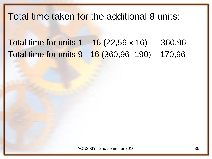### Total time taken for the additional 8 units:

Total time for units  $1 - 16$  (22,56 x 16) 360,96 Total time for units 9 - 16 (360,96 -190) 170,96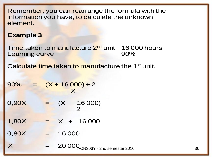Remember, you can rearrange the formula with the information you have, to calculate the unknown element.

#### **Example 3**:

Time taken to manufacture 2<sup>nd</sup> unit 16 000 hours Learning curve **1999** United States and States and States and States and States and States and States and States

Calculate time taken to manufacture the 1<sup>st</sup> unit.

 $90\% = (X + 16000) \div 2$ **x** 

 $0,90X = (X + 16000)$  $\sim$  2

 $1,80X = X + 16000$ 

 $0,80X = 16000$ 

 $X = 2000Q<sub>CN306Y</sub>$  - 2nd semester 2010 36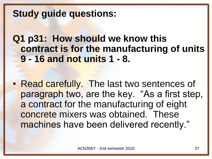### **Study guide questions:**

**Q1 p31: How should we know this contract is for the manufacturing of units 9 - 16 and not units 1 - 8.**

• Read carefully. The last two sentences of paragraph two, are the key. "As a first step, a contract for the manufacturing of eight concrete mixers was obtained. These machines have been delivered recently."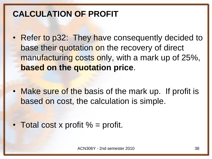### **CALCULATION OF PROFIT**

• Refer to p32: They have consequently decided to base their quotation on the recovery of direct manufacturing costs only, with a mark up of 25%, **based on the quotation price**.

• Make sure of the basis of the mark up. If profit is based on cost, the calculation is simple.

• Total cost x profit  $% =$  profit.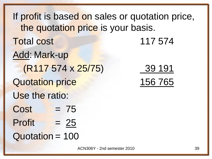If profit is based on sales or quotation price, the quotation price is your basis. **Total cost 117 574** Add: Mark-up (R117 574 x 25/75) 39 191 Quotation price 156 765 Use the ratio:  $Cost = 75$  $Profit = 25$ Quotation = 100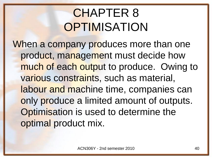# CHAPTER 8 **OPTIMISATION**

When a company produces more than one product, management must decide how much of each output to produce. Owing to various constraints, such as material, labour and machine time, companies can only produce a limited amount of outputs. Optimisation is used to determine the optimal product mix.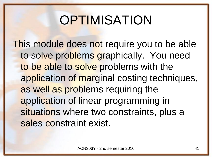# **OPTIMISATION**

This module does not require you to be able to solve problems graphically. You need to be able to solve problems with the application of marginal costing techniques, as well as problems requiring the application of linear programming in situations where two constraints, plus a sales constraint exist.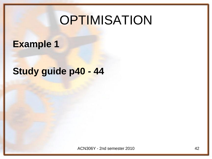# **OPTIMISATION**

### **Example 1**

## **Study guide p40 - 44**

ACN306Y - 2nd semester 2010 **42**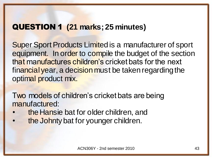#### QUESTION 1 **(21 marks; 25 minutes)**

Super Sport Products Limited is a manufacturer of sport equipment. In order to compile the budget of the section that manufactures children's cricket bats for the next financial year, a decision must be taken regarding the optimal product mix.

Two models of children's cricket bats are being manufactured:

- the Hansie bat for older children, and
- the Johnty bat for younger children.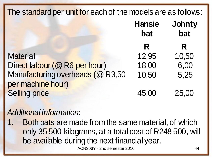| The standard per unit for each of the models are as follows: |                      |               |
|--------------------------------------------------------------|----------------------|---------------|
|                                                              | <b>Hansie</b><br>bat | Johnty<br>bat |
|                                                              | R                    | R             |
| <b>Material</b>                                              | 12,95                | 10,50         |
| Direct labour (@ R6 per hour)                                | 18,00                | 6,00          |
| Manufacturing overheads (@ R3,50                             | 10,50                | 5,25          |
| per machine hour)                                            |                      |               |
| <b>Selling price</b>                                         | 45,00                | 25,00         |

#### *Additional information*:

Both bats are made from the same material, of which only 35 500 kilograms, at a total cost of R248 500, will be available during the next financial year.

ACN306Y - 2nd semester 2010 44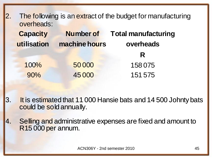| 2. | overheads:      |                  | The following is an extract of the budget for manufacturing |
|----|-----------------|------------------|-------------------------------------------------------------|
|    | <b>Capacity</b> | <b>Number of</b> | <b>Total manufacturing</b>                                  |
|    | utilisation     | machine hours    | overheads                                                   |
|    |                 |                  | R                                                           |
|    | 100%            | 50 000           | 158075                                                      |
|    | 90%             | 45 000           | 151 575                                                     |

- 3. It is estimated that 11 000 Hansie bats and 14 500 Johnty bats could be sold annually.
- 4. Selling and administrative expenses are fixed and amount to R15 000 per annum.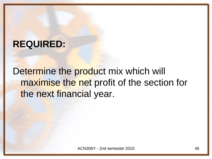### **REQUIRED:**

Determine the product mix which will maximise the net profit of the section for the next financial year.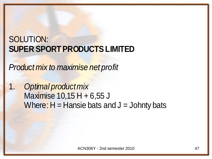### SOLUTION: **SUPER SPORT PRODUCTS LIMITED**

*Product mix to maximise net profit* 

1. *Optimal product mix* Maximise 10,15 H + 6,55 J Where:  $H =$  Hansie bats and  $J =$  Johnty bats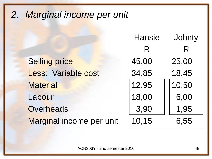## *2. Marginal income per unit*

|                          | <b>Hansie</b> | Johnty |
|--------------------------|---------------|--------|
|                          | R             | R      |
| <b>Selling price</b>     | 45,00         | 25,00  |
| Less: Variable cost      | 34,85         | 18,45  |
| <b>Material</b>          | 12,95         | 10,50  |
| Labour                   | 18,00         | 6,00   |
| Overheads                | 3,90          | 1,95   |
| Marginal income per unit | 10,15         | 6,55   |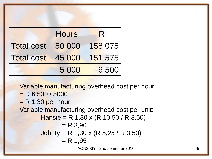|                   | <b>Hours</b> | R.      |
|-------------------|--------------|---------|
| <b>Total cost</b> | 50 000       | 158 075 |
| <b>Total cost</b> | 45 000       | 151 575 |
|                   | 5 0 0 0      | 6 500   |

Variable manufacturing overhead cost per hour  $= R 6 500 / 5000$  $=$  R 1,30 per hour Variable manufacturing overhead cost per unit: Hansie = R 1,30 x (R 10,50 / R 3,50)  $= R 3,90$ Johnty = R 1,30 x (R 5,25 / R 3,50)  $= R 1,95$ 

ACN306Y - 2nd semester 2010 49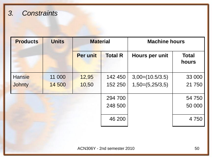#### *3. Constraints*

| <b>Products</b> | <b>Units</b> | <b>Material</b> |                | <b>Machine hours</b> |                       |
|-----------------|--------------|-----------------|----------------|----------------------|-----------------------|
|                 |              | <b>Per unit</b> | <b>Total R</b> | Hours per unit       | <b>Total</b><br>hours |
| <b>Hansie</b>   | 11 000       | 12,95           | 142 450        | $3,00=(10.5/3.5)$    | 33 000                |
| <b>Johnty</b>   | 14 500       | 10,50           | 152 250        | $1,50=(5,25/3,5)$    | 21750                 |
|                 |              |                 | 294 700        |                      | 54 750                |
|                 |              |                 | 248 500        |                      | 50 000                |
|                 |              |                 | 46 200         |                      | 4 7 5 0               |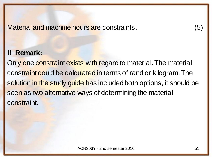Material and machine hours are constraints. (5)

#### **!! Remark:**

Only one constraint exists with regard to material. The material constraint could be calculated in terms of rand or kilogram. The solution in the study guide has included both options, it should be seen as two alternative ways of determining the material constraint.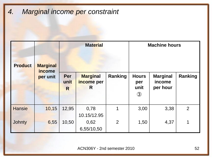*4. Marginal income per constraint*

| <b>Product</b> | <b>Marginal</b><br><i>income</i> | <b>Material</b> |                                     | <b>Machine hours</b> |                                              |                                       |                |
|----------------|----------------------------------|-----------------|-------------------------------------|----------------------|----------------------------------------------|---------------------------------------|----------------|
|                | Per<br>per unit<br>unit<br>R     |                 | <b>Marginal</b><br>income per<br>R. | Ranking              | <b>Hours</b><br>per<br>unit<br>$\circled{3}$ | <b>Marginal</b><br>income<br>per hour | Ranking        |
| <b>Hansie</b>  | 10,15                            | 12,95           | 0,78<br>10.15/12.95                 | 1                    | 3,00                                         | 3,38                                  | $\overline{2}$ |
| <b>Johnty</b>  | 6,55                             | 10,50           | 0,62<br>6,55/10,50                  | $\overline{2}$       | 1,50                                         | 4,37                                  | 1              |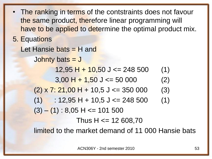```
The ranking in terms of the contstraints does not favour
  the same product, therefore linear programming will 
  have to be applied to determine the optimal product mix.
5. Equations
  Let Hansie bats = H and
      Johnty bats = J
             12,95 H + 10,50 J <= 248 500 (1)
             3,00 H + 1,50 J <= 50 000 (2)
      (2) \times 7: 21,00 H + 10,5 J <= 350 000 (3)
      (1) : 12,95 H + 10,5 J <= 248 500 (1)
      (3) - (1): 8,05 H <= 101 500
                   Thus H \le 12608,70limited to the market demand of 11 000 Hansie bats
```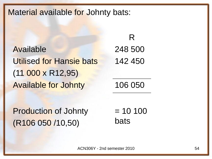#### Material available for Johnty bats:

Available Utilised for Hansie bats (11 000 x R12,95) Available for Johnty 106 050

248 500 142 450

R

Production of Johnty (R106 050 /10,50)

 $= 10 100$ bats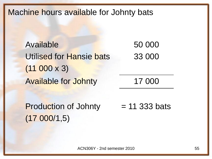Machine hours available for Johnty bats

Available Utilised for Hansie bats  $(11\ 000 \times 3)$ Available for Johnty 17 000

50 000 33 000

Production of Johnty (17 000/1,5)  $= 11$  333 bats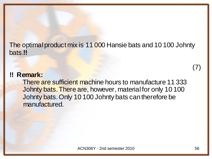The optimal product mix is 11 000 Hansie bats and 10 100 Johnty bats.**!!**

#### **!! Remark:**

There are sufficient machine hours to manufacture 11 333 Johnty bats. There are, however, material for only 10 100 Johnty bats. Only 10 100 Johnty bats can therefore be manufactured.

(7)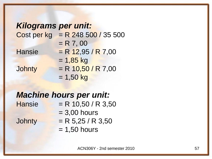| <b>Kilograms per unit:</b> |                          |
|----------------------------|--------------------------|
| Cost per kg                | $R = R$ 248 500 / 35 500 |
|                            | $= R 7,00$               |
| <b>Hansie</b>              | $=$ R 12,95 / R 7,00     |
|                            | $= 1,85$ kg              |
| Johnty                     | $= R 10,50 / R 7,00$     |
|                            | $= 1,50$ kg              |

#### *Machine hours per unit:*

 $Hansie = R 10,50 / R 3,50$  $= 3,00$  hours

- Johnty = R  $5,25 / R$  3,50
	- $= 1,50$  hours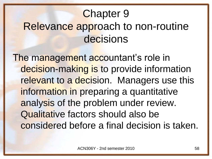## Chapter 9 Relevance approach to non-routine decisions

The management accountant's role in decision-making is to provide information relevant to a decision. Managers use this information in preparing a quantitative analysis of the problem under review. Qualitative factors should also be considered before a final decision is taken.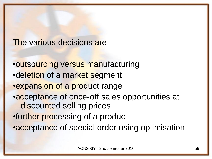#### The various decisions are

•outsourcing versus manufacturing •deletion of a market segment •expansion of a product range •acceptance of once-off sales opportunities at discounted selling prices •further processing of a product • acceptance of special order using optimisation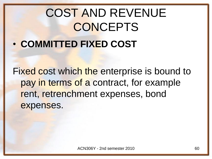# COST AND REVENUE **CONCEPTS** • **COMMITTED FIXED COST**

Fixed cost which the enterprise is bound to pay in terms of a contract, for example rent, retrenchment expenses, bond expenses.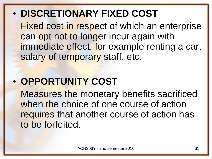## • **DISCRETIONARY FIXED COST**

Fixed cost in respect of which an enterprise can opt not to longer incur again with immediate effect, for example renting a car, salary of temporary staff, etc.

## • **OPPORTUNITY COST**

Measures the monetary benefits sacrificed when the choice of one course of action requires that another course of action has to be forfeited.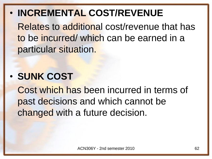• **INCREMENTAL COST/REVENUE**

Relates to additional cost/revenue that has to be incurred/ which can be earned in a particular situation.

## • **SUNK COST**

Cost which has been incurred in terms of past decisions and which cannot be changed with a future decision.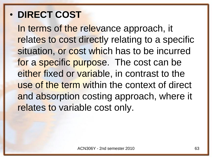## • **DIRECT COST**

In terms of the relevance approach, it relates to cost directly relating to a specific situation, or cost which has to be incurred for a specific purpose. The cost can be either fixed or variable, in contrast to the use of the term within the context of direct and absorption costing approach, where it relates to variable cost only.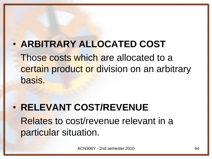## • **ARBITRARY ALLOCATED COST**

Those costs which are allocated to a certain product or division on an arbitrary basis.

## • **RELEVANT COST/REVENUE** Relates to cost/revenue relevant in a particular situation.

ACN306Y - 2nd semester 2010 64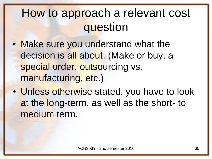## How to approach a relevant cost question

- Make sure you understand what the decision is all about. (Make or buy, a special order, outsourcing vs. manufacturing, etc.)
- Unless otherwise stated, you have to look at the long-term, as well as the short- to medium term.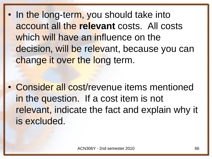In the long-term, you should take into account all the **relevant** costs. All costs which will have an influence on the decision, will be relevant, because you can change it over the long term.

• Consider all cost/revenue items mentioned in the question. If a cost item is not relevant, indicate the fact and explain why it is excluded.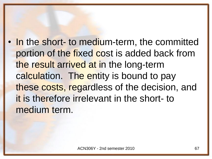In the short- to medium-term, the committed portion of the fixed cost is added back from the result arrived at in the long-term calculation. The entity is bound to pay these costs, regardless of the decision, and it is therefore irrelevant in the short- to medium term.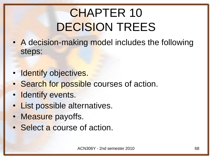# CHAPTER 10 DECISION TREES

- A decision-making model includes the following steps:
- Identify objectives.
- Search for possible courses of action.
- Identify events.
- List possible alternatives.
- Measure payoffs.
- Select a course of action.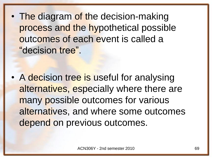• The diagram of the decision-making process and the hypothetical possible outcomes of each event is called a "decision tree".

• A decision tree is useful for analysing alternatives, especially where there are many possible outcomes for various alternatives, and where some outcomes depend on previous outcomes.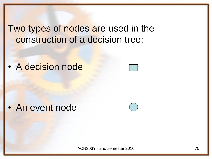### Two types of nodes are used in the construction of a decision tree:

• A decision node

• An event node

ACN306Y - 2nd semester 2010 **70**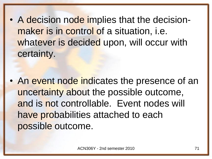• A decision node implies that the decisionmaker is in control of a situation, i.e. whatever is decided upon, will occur with certainty.

• An event node indicates the presence of an uncertainty about the possible outcome, and is not controllable. Event nodes will have probabilities attached to each possible outcome.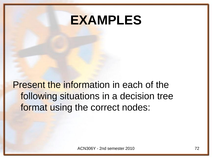## **EXAMPLES**

Present the information in each of the following situations in a decision tree format using the correct nodes: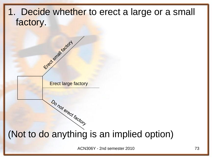#### 1. Decide whether to erect a large or a small factory.

Erect large factory

Do not erect factory

Etlect small tactory

### (Not to do anything is an implied option)

ACN306Y - 2nd semester 2010 **73**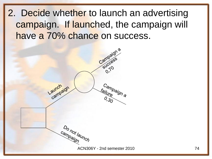## 2. Decide whether to launch an advertising campaign. If launched, the campaign will have a 70% chance on success.

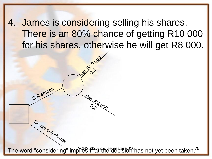4. James is considering selling his shares. There is an 80% chance of getting R10 000 for his shares, otherwise he will get R8 000.

The word "considering" implies that the decision has not yet been taken.<sup>75</sup>

Get R8000

Sell shares

Do not sell shares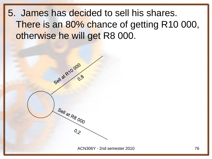5. James has decided to sell his shares. There is an 80% chance of getting R10 000, otherwise he will get R8 000.

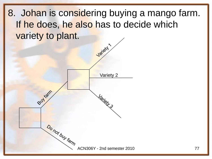8. Johan is considering buying a mango farm. If he does, he also has to decide which variety to plant.

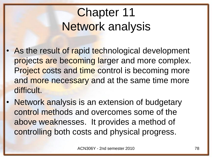# Chapter 11 Network analysis

- As the result of rapid technological development projects are becoming larger and more complex. Project costs and time control is becoming more and more necessary and at the same time more difficult.
- Network analysis is an extension of budgetary control methods and overcomes some of the above weaknesses. It provides a method of controlling both costs and physical progress.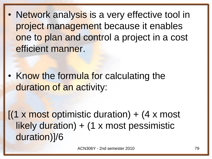**Network analysis is a very effective tool in** project management because it enables one to plan and control a project in a cost efficient manner.

• Know the formula for calculating the duration of an activity:

 $(1 \times \text{most optimistic duration}) + (4 \times \text{most})$ likely duration) + (1 x most pessimistic duration)]/6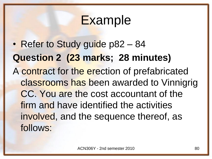## **Example**

• Refer to Study guide p82 – 84 **Question 2 (23 marks; 28 minutes)** A contract for the erection of prefabricated classrooms has been awarded to Vinnigrig CC. You are the cost accountant of the firm and have identified the activities involved, and the sequence thereof, as follows: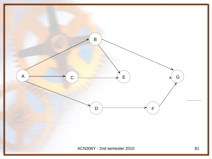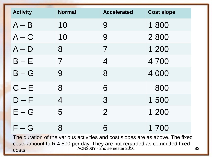| <b>Activity</b>                                                                | <b>Normal</b>            | <b>Accelerated</b>       | <b>Cost slope</b> |  |
|--------------------------------------------------------------------------------|--------------------------|--------------------------|-------------------|--|
| $A - B$                                                                        | 10                       | 9                        | 1800              |  |
| $A - C$                                                                        | 10                       | 9                        | 2800              |  |
| $A - D$                                                                        | 8                        | $\overline{\mathcal{I}}$ | 1 200             |  |
| $B - E$                                                                        | $\overline{\mathcal{I}}$ | $\overline{4}$           | 4 700             |  |
| $B-G$                                                                          | 9                        | 8                        | 4 0 0 0           |  |
| $C - E$                                                                        | 8                        | 6                        | 800               |  |
| $D - F$                                                                        | 4                        | 3                        | 1500              |  |
| $E - G$                                                                        | 5                        | $\overline{2}$           | 1 200             |  |
| $F - G$                                                                        | 8                        | 6                        | 1 700             |  |
| The duration of the various activities and cost slopes are as above. The fixed |                          |                          |                   |  |

costs amount to R 4 500 per day. They are not regarded as committed fixed costs. ACN306Y - 2nd semester 2010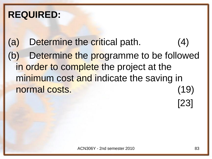## **REQUIRED:**

(a) Determine the critical path. (4) (b) Determine the programme to be followed in order to complete the project at the minimum cost and indicate the saving in normal costs. (19)

[23]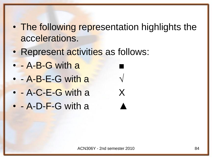- The following representation highlights the accelerations.
- Represent activities as follows:
- $\cdot$  A-B-G with a
- $\cdot$  A-B-E-G with a
- - A-C-E-G with a X
- $\bullet$  A-D-F-G with a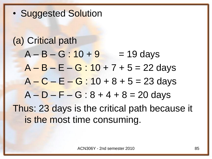• Suggested Solution

## (a) Critical path  $A - B - G : 10 + 9 = 19$  days  $A - B - E - G : 10 + 7 + 5 = 22$  days  $A - C - E - G : 10 + 8 + 5 = 23$  days  $A - D - F - G : 8 + 4 + 8 = 20$  days Thus: 23 days is the critical path because it is the most time consuming.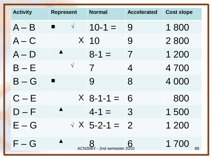| <b>Activity</b>         | <b>Represent</b> | <b>Normal</b>               | <b>Accelerated</b> | <b>Cost slope</b> |
|-------------------------|------------------|-----------------------------|--------------------|-------------------|
| $A - B$                 | $\sqrt{ }$       | $10-1 =$                    | 9                  | 1800              |
| $A - C$                 |                  | $X$ 10                      | 9                  | 2800              |
| $A - D$                 |                  | $8 - 1 =$                   | $\overline{7}$     | 1 200             |
| $B - E$                 | $\sqrt{ }$       | 7                           | $\overline{4}$     | 4700              |
| $B-G$                   |                  | 9                           | 8                  | 4 0 0 0           |
| $C - E$                 |                  | $X$ 8-1-1 = 6               |                    | 800               |
| $D - F$                 |                  | $4 - 1 =$                   | 3                  | 1500              |
| $E-G$                   |                  | $\sqrt{X}$ 5-2-1 = 2        |                    | 1 200             |
| $\mathsf{F}-\mathsf{G}$ |                  | ACN306Y - 2nd semester 2010 |                    | 1 700             |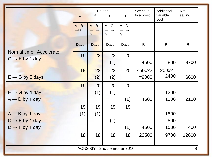|                                   |                                      | $\sqrt{}$                                             | <b>Routes</b><br>$\sf X$                              | $\blacktriangle$                                        | Saving in<br>fixed cost | Additional<br>variable<br>cost | <b>Net</b><br>saving |
|-----------------------------------|--------------------------------------|-------------------------------------------------------|-------------------------------------------------------|---------------------------------------------------------|-------------------------|--------------------------------|----------------------|
|                                   | $A \rightarrow B$<br>$\rightarrow G$ | $A \rightarrow B$<br>$\rightarrow E \rightarrow$<br>G | $A \rightarrow C$<br>$\rightarrow E \rightarrow$<br>G | $A \rightarrow D$<br>$\rightarrow$ F $\rightarrow$<br>G |                         |                                |                      |
|                                   | Days                                 | <b>Days</b>                                           | Days                                                  | Days                                                    | $\mathsf{R}$            | $\mathsf{R}$                   | $\mathsf{R}$         |
| Normal time: Accelerate:          | 19                                   | 22                                                    | 23                                                    | 20                                                      |                         |                                |                      |
| $C \rightarrow E$ by 1 day        |                                      |                                                       | (1)                                                   |                                                         | 4500                    | 800                            | 3700                 |
|                                   | 19                                   | 22                                                    | 22                                                    | 20                                                      | 4500x2                  | $1200x2=$                      |                      |
| $E \rightarrow G$ by 2 days       |                                      | (2)                                                   | (2)                                                   |                                                         | $= 9000$                | 2400                           | 6600                 |
|                                   | 19                                   | 20                                                    | 20                                                    | 20                                                      |                         |                                |                      |
| $E \rightarrow G$ by 1 day        |                                      | (1)                                                   | (1)                                                   |                                                         |                         | 1200                           |                      |
| $A \rightarrow D$ by 1 day        |                                      |                                                       |                                                       | (1)                                                     | 4500                    | 1200                           | 2100                 |
|                                   | 19                                   | 19                                                    | 19                                                    | 19                                                      |                         |                                |                      |
| $A \rightarrow B$ by 1 day        | (1)                                  | (1)                                                   |                                                       |                                                         |                         | 1800                           |                      |
| $C \rightarrow E$ by 1 day        |                                      |                                                       | (1)                                                   |                                                         |                         | 800                            |                      |
| $D \rightarrow F$ by 1 day        |                                      |                                                       |                                                       | (1)                                                     | 4500                    | 1500                           | 400                  |
|                                   | 18                                   | 18                                                    | 18                                                    | 18                                                      | 22500                   | 9700                           | 12800                |
|                                   |                                      |                                                       |                                                       |                                                         |                         |                                |                      |
| ACN306Y - 2nd semester 2010<br>87 |                                      |                                                       |                                                       |                                                         |                         |                                |                      |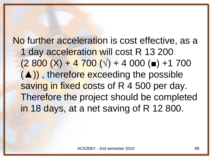No further acceleration is cost effective, as a 1 day acceleration will cost R 13 200  $(2,800 (X) + 4,700 (V) + 4,000 (m) + 1,700)$ (▲)) , therefore exceeding the possible saving in fixed costs of R 4 500 per day. Therefore the project should be completed in 18 days, at a net saving of R 12 800.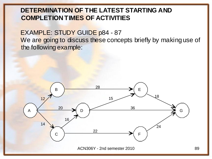#### **DETERMINATION OF THE LATEST STARTING AND COMPLETION TIMES OF ACTIVITIES**

EXAMPLE: STUDY GUIDE p84 - 87 We are going to discuss these concepts briefly by making use of the following example:

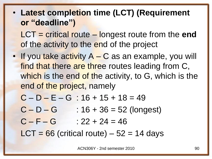**Latest completion time (LCT) (Requirement or "deadline")**

LCT = critical route – longest route from the **end**  of the activity to the end of the project

• If you take activity  $A - C$  as an example, you will find that there are three routes leading from C, which is the end of the activity, to G, which is the end of the project, namely

$$
C - D - E - G : 16 + 15 + 18 = 49
$$

- $C D G$  : 16 + 36 = 52 (longest)
- $C F G$  : 22 + 24 = 46

 $LCT = 66$  (critical route) – 52 = 14 days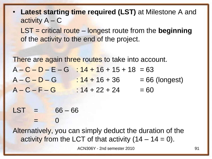• **Latest starting time required (LST)** at Milestone A and activity A – C

LST = critical route – longest route from the **beginning** of the activity to the end of the project.

There are again three routes to take into account.  $A - C - D - E - G$  :  $14 + 16 + 15 + 18 = 63$  $A - C - D - G$  :  $14 + 16 + 36$  = 66 (longest)  $A - C - F - G$  :  $14 + 22 + 24$  = 60

 $LST = 66 - 66$  $=$  0

Alternatively, you can simply deduct the duration of the activity from the LCT of that activity  $(14 - 14 = 0)$ .

ACN306Y - 2nd semester 2010 91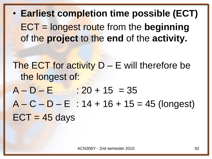• **Earliest completion time possible (ECT)** ECT = longest route from the **beginning** of the **project** to the **end** of the **activity.**

The ECT for activity  $D - E$  will therefore be the longest of:

 $A - D - E$  : 20 + 15 = 35

 $A - C - D - E$ : 14 + 16 + 15 = 45 (longest)  $ECT = 45 days$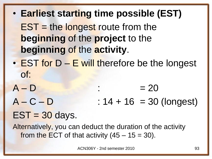• **Earliest starting time possible (EST)**  $EST =$  the longest route from the **beginning** of the **project** to the **beginning** of the **activity**. • EST for D – E will therefore be the longest of:  $A - D$  :  $= 20$  $A - C - D$  : 14 + 16 = 30 (longest)

## $EST = 30$  days.

Alternatively, you can deduct the duration of the activity from the ECT of that activity  $(45 - 15 = 30)$ .

ACN306Y - 2nd semester 2010 93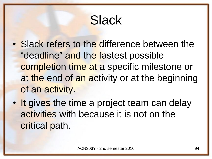# **Slack**

- Slack refers to the difference between the "deadline" and the fastest possible completion time at a specific milestone or at the end of an activity or at the beginning of an activity.
- It gives the time a project team can delay activities with because it is not on the critical path.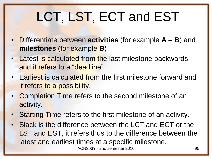# LCT, LST, ECT and EST

- Differentiate between **activities** (for example **A – B**) and **milestones** (for example **B**)
- Latest is calculated from the last milestone backwards and it refers to a "deadline".
- Earliest is calculated from the first milestone forward and it refers to a possibility.
- Completion Time refers to the second milestone of an activity.
- Starting Time refers to the first milestone of an activity.
- Slack is the difference between the LCT and ECT or the LST and EST, it refers thus to the difference between the latest and earliest times at a specific milestone.

ACN306Y - 2nd semester 2010 **95**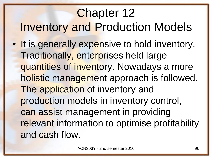## Chapter 12 Inventory and Production Models • It is generally expensive to hold inventory. Traditionally, enterprises held large quantities of inventory. Nowadays a more holistic management approach is followed. The application of inventory and production models in inventory control, can assist management in providing relevant information to optimise profitability and cash flow.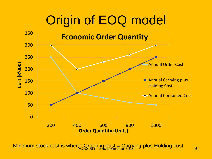# Origin of EOQ model



Minimum stock cost is where: Ordering cost = Carrying plus Holding cost  $_{97}$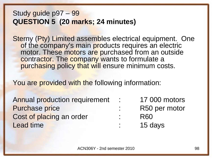#### Study guide p97 – 99 **QUESTION 5 (20 marks; 24 minutes)**

Sterny (Pty) Limited assembles electrical equipment. One of the company's main products requires an electric motor. These motors are purchased from an outside contractor. The company wants to formulate a purchasing policy that will ensure minimum costs.

You are provided with the following information:

Annual production requirement : 17 000 motors Purchase price in the set of the R50 per motor Cost of placing an order : R60 Lead time **contract time in the set of the set of the set of the set of the set of the set of the set of the set of the set of the set of the set of the set of the set of the set of the set of the set of the set of the set** 

- 
- -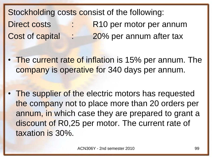Stockholding costs consist of the following: Direct costs : R10 per motor per annum Cost of capital : 20% per annum after tax

The current rate of inflation is 15% per annum. The company is operative for 340 days per annum.

The supplier of the electric motors has requested the company not to place more than 20 orders per annum, in which case they are prepared to grant a discount of R0,25 per motor. The current rate of taxation is 30%.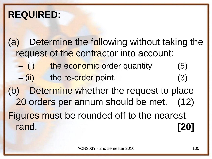## **REQUIRED:**

- (a) Determine the following without taking the request of the contractor into account:
	- (i) the economic order quantity (5) – (ii) the re-order point. (3)
- (b) Determine whether the request to place 20 orders per annum should be met. (12) Figures must be rounded off to the nearest rand. **[20]**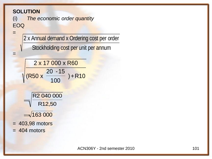#### **SOLUTION**

=

=

(i) *The economic order quantity* EOQ

2 x Annual demand x Ordering cost per order

Stockholding cost per unit per annum

2 x 17 000 x R60 (R50 x 20 -15 100  $)+R10$ 





- = 403,98 motors
- $= 404$  motors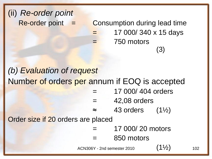## (ii) *Re-order point*  $Re$ -order point  $=$  Consumption during lead time = 17 000/ 340 x 15 days 750 motors (3) *(b) Evaluation of request* Number of orders per annum if EOQ is accepted = 17 000/ 404 orders

- $=$  42,08 orders
- $\approx$  43 orders (1½)

Order size if 20 orders are placed

- = 17 000/ 20 motors
- 850 motors

ACN306Y - 2nd semester 2010  $(1\frac{1}{2})$  102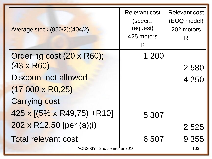| Average stock (850/2); (404/2)                                       | <b>Relevant cost</b><br>(special<br>request)<br>425 motors<br>R | <b>Relevant cost</b><br>(EOQ model)<br>202 motors<br>R |
|----------------------------------------------------------------------|-----------------------------------------------------------------|--------------------------------------------------------|
| Ordering cost (20 x R60);                                            | 1 200                                                           |                                                        |
| $(43 \times R60)$                                                    |                                                                 | 2580                                                   |
| Discount not allowed                                                 |                                                                 | 4 250                                                  |
| $(17000 \times R0,25)$                                               |                                                                 |                                                        |
| <b>Carrying cost</b>                                                 |                                                                 |                                                        |
| $425 \times [(5\% \times R49,75) + R10]$                             | 5 307                                                           |                                                        |
| 202 x R12,50 [per (a)(i)                                             |                                                                 | 2 5 2 5                                                |
| <b>Total relevant cost</b><br><del>ACN306Y - 2nd semester 2010</del> | 6 507                                                           | 9 3 5 5                                                |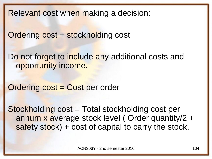Relevant cost when making a decision:

Ordering cost + stockholding cost

Do not forget to include any additional costs and opportunity income.

Ordering cost = Cost per order

Stockholding cost = Total stockholding cost per annum x average stock level ( Order quantity/2 + safety stock) + cost of capital to carry the stock.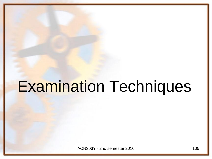# Examination Techniques

ACN306Y - 2nd semester 2010 105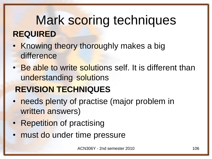# Mark scoring techniques **REQUIRED**

- Knowing theory thoroughly makes a big difference
- Be able to write solutions self. It is different than understanding solutions

## **REVISION TECHNIQUES**

- needs plenty of practise (major problem in written answers)
- Repetition of practising
- must do under time pressure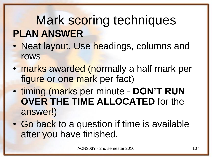# Mark scoring techniques **PLAN ANSWER**

- Neat layout. Use headings, columns and rows
- marks awarded (normally a half mark per figure or one mark per fact)
- timing (marks per minute **DON'T RUN OVER THE TIME ALLOCATED** for the answer!)
- Go back to a question if time is available after you have finished.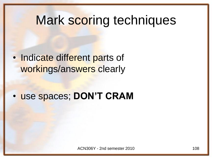## Mark scoring techniques

Indicate different parts of workings/answers clearly

• use spaces; **DON'T CRAM**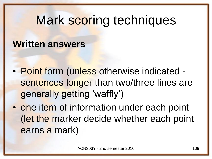## Mark scoring techniques

#### **Written answers**

- Point form (unless otherwise indicated sentences longer than two/three lines are generally getting 'waffly')
- one item of information under each point (let the marker decide whether each point earns a mark)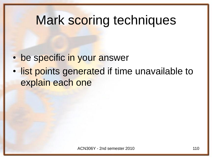### Mark scoring techniques

- be specific in your answer
- list points generated if time unavailable to explain each one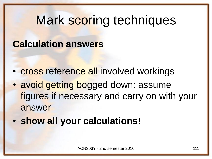## Mark scoring techniques

#### **Calculation answers**

- cross reference all involved workings
- avoid getting bogged down: assume figures if necessary and carry on with your answer
- **show all your calculations!**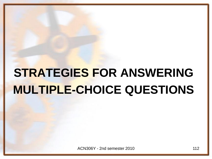## **STRATEGIES FOR ANSWERING MULTIPLE-CHOICE QUESTIONS**

ACN306Y - 2nd semester 2010 112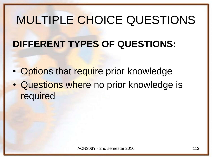#### **DIFFERENT TYPES OF QUESTIONS:**

- Options that require prior knowledge
- Questions where no prior knowledge is required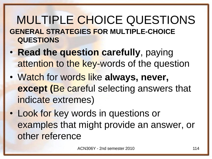#### MULTIPLE CHOICE QUESTIONS **GENERAL STRATEGIES FOR MULTIPLE-CHOICE QUESTIONS**

- **Read the question carefully**, paying attention to the key-words of the question
- Watch for words like **always, never, except (**Be careful selecting answers that indicate extremes)
- Look for key words in questions or examples that might provide an answer, or other reference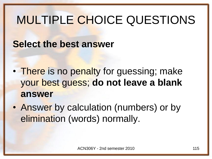#### **Select the best answer**

- There is no penalty for guessing; make your best guess; **do not leave a blank answer**
- Answer by calculation (numbers) or by elimination (words) normally.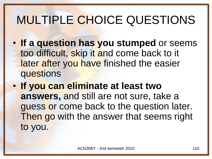- **If a question has you stumped** or seems too difficult, skip it and come back to it later after you have finished the easier questions
- **If you can eliminate at least two answers,** and still are not sure, take a guess or come back to the question later. Then go with the answer that seems right to you.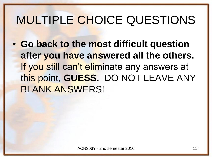• **Go back to the most difficult question after you have answered all the others.** If you still can't eliminate any answers at this point, **GUESS.** DO NOT LEAVE ANY BLANK ANSWERS!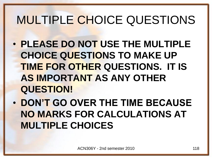- **PLEASE DO NOT USE THE MULTIPLE CHOICE QUESTIONS TO MAKE UP TIME FOR OTHER QUESTIONS. IT IS AS IMPORTANT AS ANY OTHER QUESTION!**
- **DON'T GO OVER THE TIME BECAUSE NO MARKS FOR CALCULATIONS AT MULTIPLE CHOICES**